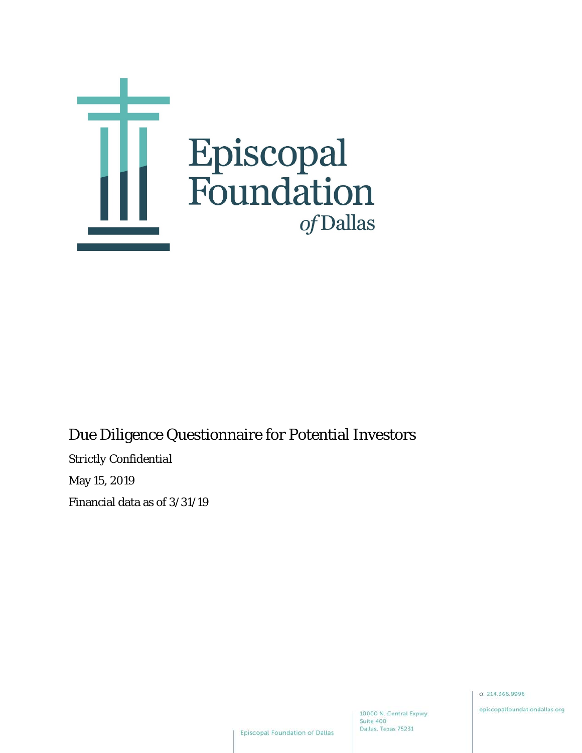

# Due Diligence Questionnaire for Potential Investors

*Strictly Confidential*

May 15, 2019

Financial data as of 3/31/19

0.214.366.9996

episcopalfoundationdallas.org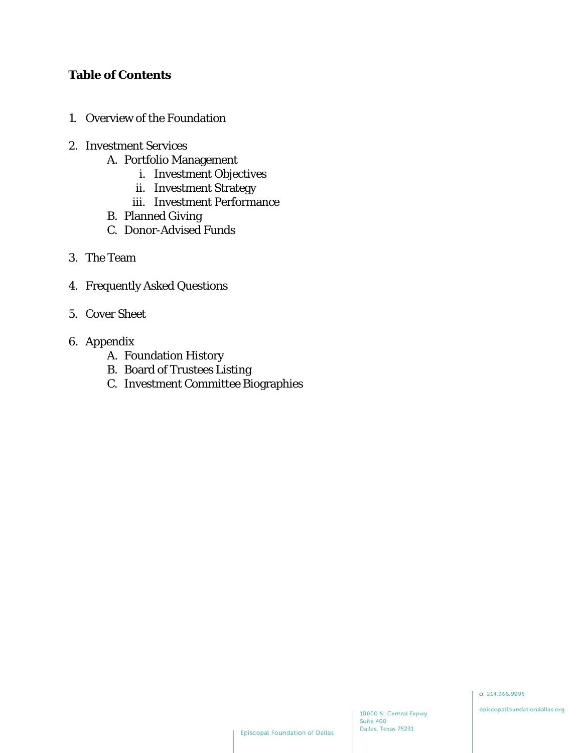## **Table of Contents**

- 1. Overview of the Foundation
- 2. Investment Services
	- A. Portfolio Management
		- i. Investment Objectives
		- ii. Investment Strategy
		- iii. Investment Performance
	- B. Planned Giving
	- C. Donor-Advised Funds
- 3. The Team
- 4. Frequently Asked Questions
- 5. Cover Sheet
- 6. Appendix
	- A. Foundation History
	- B. Board of Trustees Listing
	- C. Investment Committee Biographies

episcopalfoundationdallas.org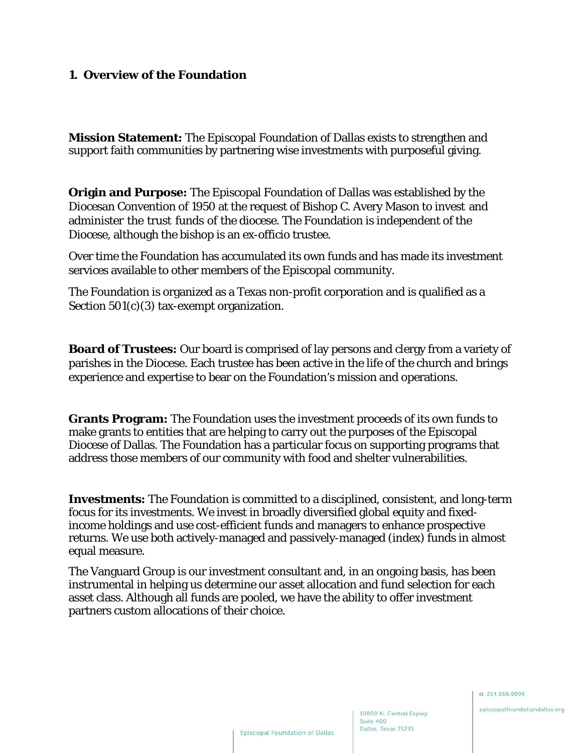#### **1. Overview of the Foundation**

**Mission Statement:** The Episcopal Foundation of Dallas exists to strengthen and support faith communities by partnering wise investments with purposeful giving.

**Origin and Purpose:** The Episcopal Foundation of Dallas was established by the Diocesan Convention of 1950 at the request of Bishop C. Avery Mason to invest and administer the trust funds of the diocese. The Foundation is independent of the Diocese, although the bishop is an ex-officio trustee.

Over time the Foundation has accumulated its own funds and has made its investment services available to other members of the Episcopal community.

The Foundation is organized as a Texas non-profit corporation and is qualified as a Section 501(c)(3) tax-exempt organization.

**Board of Trustees:** Our board is comprised of lay persons and clergy from a variety of parishes in the Diocese. Each trustee has been active in the life of the church and brings experience and expertise to bear on the Foundation's mission and operations.

**Grants Program:** The Foundation uses the investment proceeds of its own funds to make grants to entities that are helping to carry out the purposes of the Episcopal Diocese of Dallas. The Foundation has a particular focus on supporting programs that address those members of our community with food and shelter vulnerabilities.

**Investments:** The Foundation is committed to a disciplined, consistent, and long-term focus for its investments. We invest in broadly diversified global equity and fixedincome holdings and use cost-efficient funds and managers to enhance prospective returns. We use both actively-managed and passively-managed (index) funds in almost equal measure.

The Vanguard Group is our investment consultant and, in an ongoing basis, has been instrumental in helping us determine our asset allocation and fund selection for each asset class. Although all funds are pooled, we have the ability to offer investment partners custom allocations of their choice.

0.214.366.9996

episcopalfoundationdallas.org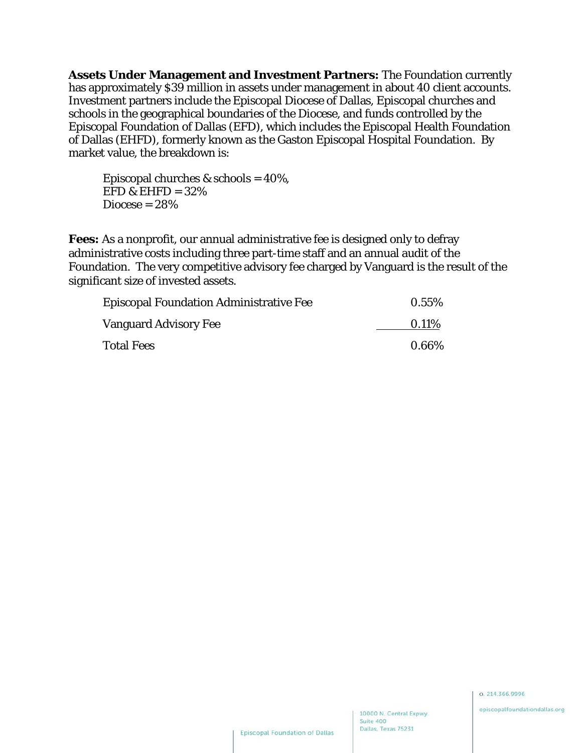**Assets Under Management and Investment Partners:** The Foundation currently has approximately \$39 million in assets under management in about 40 client accounts. Investment partners include the Episcopal Diocese of Dallas, Episcopal churches and schools in the geographical boundaries of the Diocese, and funds controlled by the Episcopal Foundation of Dallas (EFD), which includes the Episcopal Health Foundation of Dallas (EHFD), formerly known as the Gaston Episcopal Hospital Foundation. By market value, the breakdown is:

Episcopal churches & schools =  $40\%$ , EFD & EHFD  $= 32\%$  $Diocese = 28%$ 

**Fees:** As a nonprofit, our annual administrative fee is designed only to defray administrative costs including three part-time staff and an annual audit of the Foundation. The very competitive advisory fee charged by Vanguard is the result of the significant size of invested assets.

| <b>Episcopal Foundation Administrative Fee</b> | $0.55\%$ |
|------------------------------------------------|----------|
| Vanguard Advisory Fee                          | 0.11%    |
| <b>Total Fees</b>                              | $0.66\%$ |

0.214.366.9996

episcopalfoundationdallas.org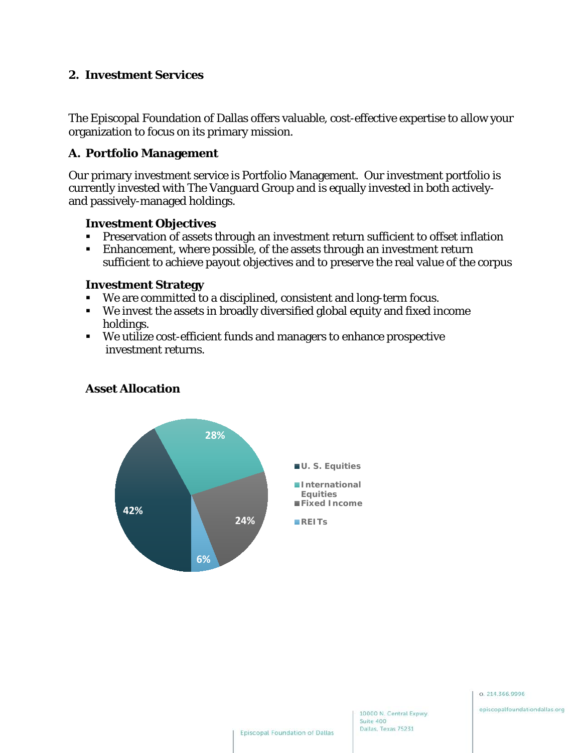#### **2. Investment Services**

The Episcopal Foundation of Dallas offers valuable, cost-effective expertise to allow your organization to focus on its primary mission.

#### **A. Portfolio Management**

Our primary investment service is Portfolio Management. Our investment portfolio is currently invested with The Vanguard Group and is equally invested in both activelyand passively-managed holdings.

#### **Investment Objectives**

- Preservation of assets through an investment return sufficient to offset inflation
- Enhancement, where possible, of the assets through an investment return sufficient to achieve payout objectives and to preserve the real value of the corpus

#### **Investment Strategy**

- We are committed to a disciplined, consistent and long-term focus.
- We invest the assets in broadly diversified global equity and fixed income holdings.
- We utilize cost-efficient funds and managers to enhance prospective investment returns.



#### **Asset Allocation**

episcopalfoundationdallas.org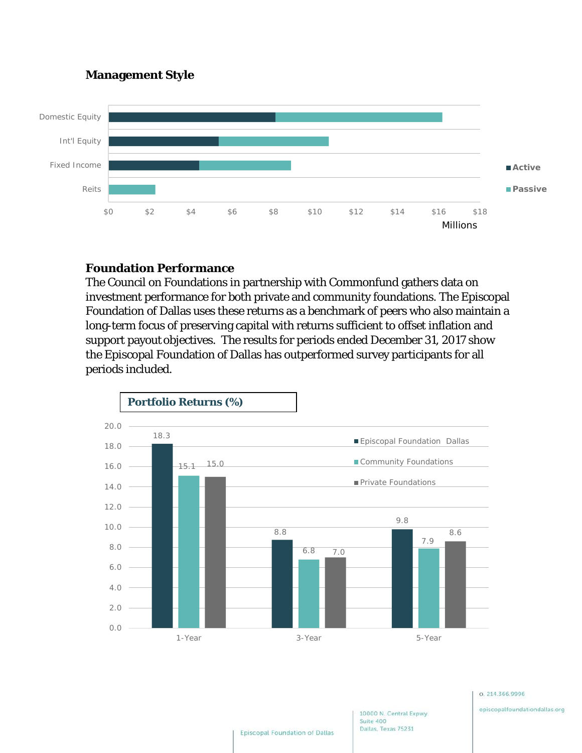#### **Management Style**



## **Foundation Performance**

The Council on Foundations in partnership with Commonfund gathers data on investment performance for both private and community foundations. The Episcopal Foundation of Dallas uses these returns as a benchmark of peers who also maintain a long-term focus of preserving capital with returns sufficient to offset inflation and support payout objectives. The results for periods ended December 31, 2017 show the Episcopal Foundation of Dallas has outperformed survey participants for all periods included.



0.214.366.9996

episcopalfoundationdallas.org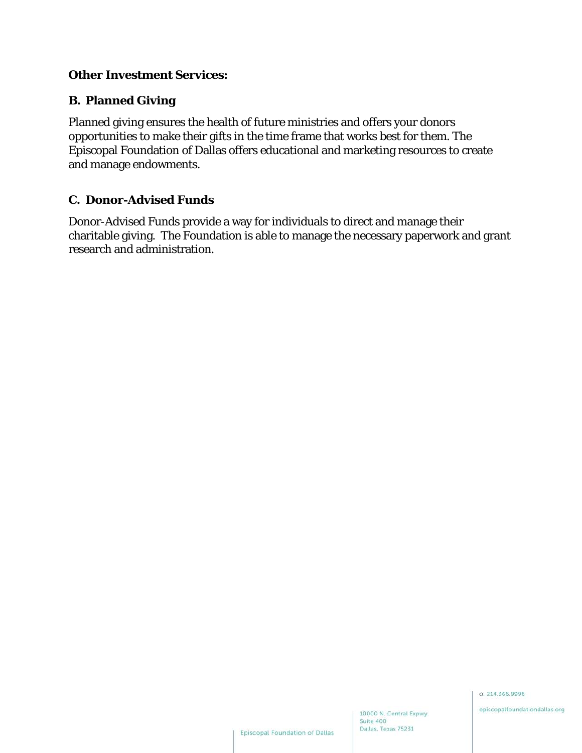#### **Other Investment Services:**

## **B. Planned Giving**

Planned giving ensures the health of future ministries and offers your donors opportunities to make their gifts in the time frame that works best for them. The Episcopal Foundation of Dallas offers educational and marketing resources to create and manage endowments.

#### **C. Donor-Advised Funds**

Donor-Advised Funds provide a way for individuals to direct and manage their charitable giving. The Foundation is able to manage the necessary paperwork and grant research and administration.

0.214.366.9996

10000 N. Central Expwy.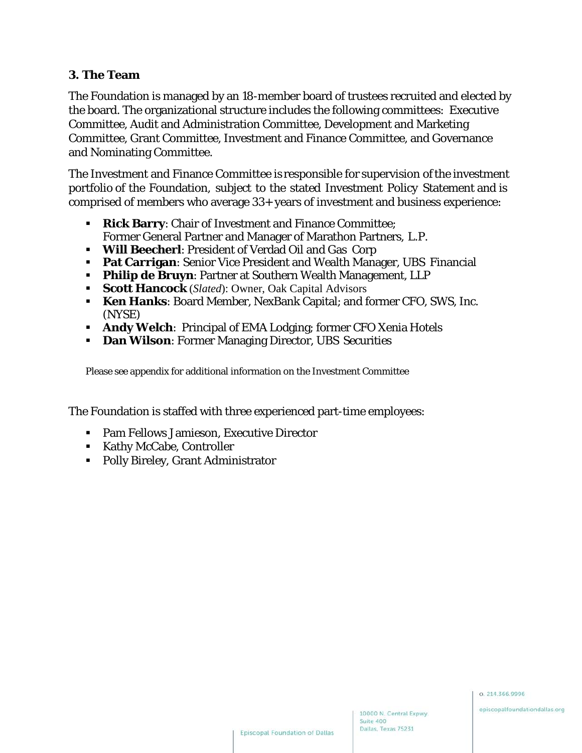#### **3. The Team**

The Foundation is managed by an 18-member board of trustees recruited and elected by the board. The organizational structure includes the following committees: Executive Committee, Audit and Administration Committee, Development and Marketing Committee, Grant Committee, Investment and Finance Committee, and Governance and Nominating Committee.

The Investment and Finance Committee is responsible for supervision ofthe investment portfolio of the Foundation, subject to the stated Investment Policy Statement and is comprised of members who average 33+ years of investment and business experience:

- **Rick Barry**: Chair of Investment and Finance Committee; Former General Partner and Manager of Marathon Partners, L.P.
- **Will Beecherl**: President of Verdad Oil and Gas Corp
- **Pat Carrigan**: Senior Vice President and Wealth Manager, UBS Financial
- **Philip de Bruyn**: Partner at Southern Wealth Management, LLP
- **Scott Hancock** (*Slated*): Owner, Oak Capital Advisors
- **Ken Hanks**: Board Member, NexBank Capital; and former CFO, SWS, Inc. (NYSE)
- **Andy Welch**: Principal of EMA Lodging; former CFO Xenia Hotels
- **Dan Wilson: Former Managing Director, UBS Securities**

Please see appendix for additional information on the Investment Committee

The Foundation is staffed with three experienced part-time employees:

- Pam Fellows Jamieson, Executive Director
- Kathy McCabe, Controller
- Polly Bireley, Grant Administrator

0.214.366.9996

10000 N. Central Expwy.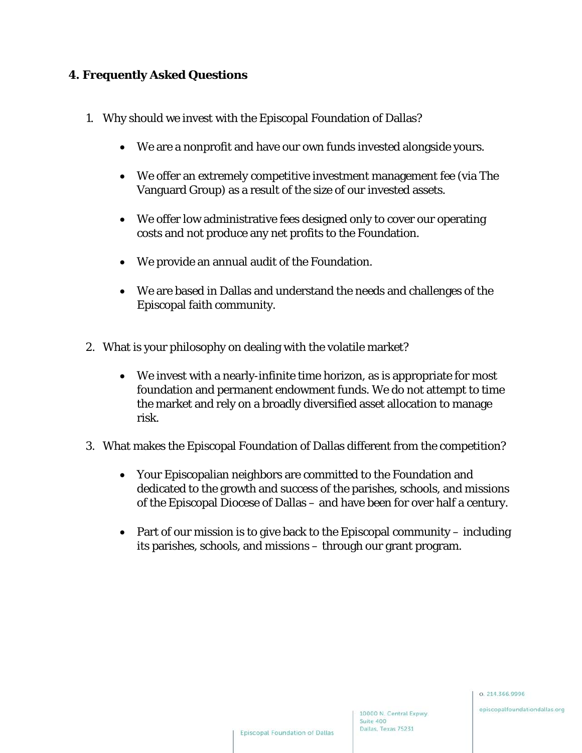## **4. Frequently Asked Questions**

- 1. Why should we invest with the Episcopal Foundation of Dallas?
	- We are a nonprofit and have our own funds invested alongside yours.
	- We offer an extremely competitive investment management fee (via The Vanguard Group) as a result of the size of our invested assets.
	- We offer low administrative fees designed only to cover our operating costs and not produce any net profits to the Foundation.
	- We provide an annual audit of the Foundation.
	- We are based in Dallas and understand the needs and challenges of the Episcopal faith community.
- 2. What is your philosophy on dealing with the volatile market?
	- We invest with a nearly-infinite time horizon, as is appropriate for most foundation and permanent endowment funds. We do not attempt to time the market and rely on a broadly diversified asset allocation to manage risk.
- 3. What makes the Episcopal Foundation of Dallas different from the competition?
	- Your Episcopalian neighbors are committed to the Foundation and dedicated to the growth and success of the parishes, schools, and missions of the Episcopal Diocese of Dallas – and have been for over half a century.
	- Part of our mission is to give back to the Episcopal community including its parishes, schools, and missions – through our grant program.

0.214.366.9996

10000 N. Central Expwy.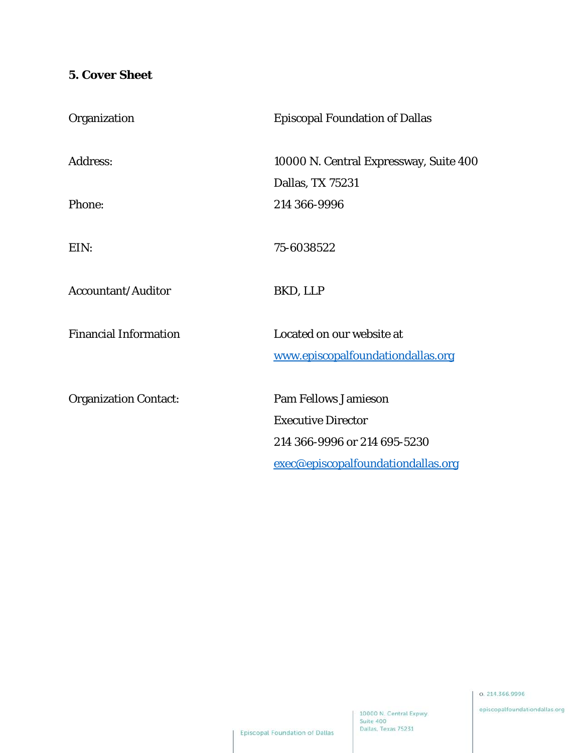## **5. Cover Sheet**

| Organization                 | <b>Episcopal Foundation of Dallas</b>  |
|------------------------------|----------------------------------------|
| <b>Address:</b>              | 10000 N. Central Expressway, Suite 400 |
|                              | Dallas, TX 75231                       |
| Phone:                       | 214 366-9996                           |
| EIN:                         | 75-6038522                             |
| <b>Accountant/Auditor</b>    | BKD, LLP                               |
| <b>Financial Information</b> | Located on our website at              |
|                              | www.episcopalfoundationdallas.org      |
| <b>Organization Contact:</b> | <b>Pam Fellows Jamieson</b>            |
|                              | <b>Executive Director</b>              |
|                              | 214 366-9996 or 214 695-5230           |
|                              | exec@episcopalfoundationdallas.org     |
|                              |                                        |

0.214.366.9996

episcopalfoundationdallas.org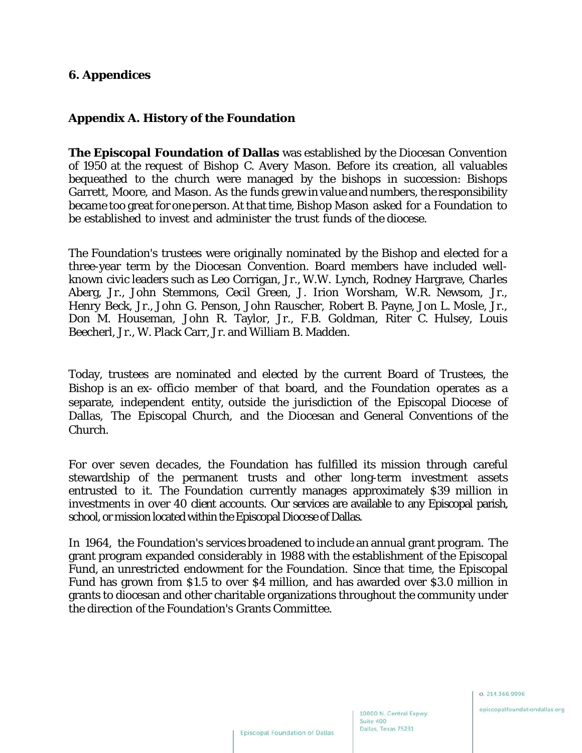#### **6. Appendices**

#### **Appendix A. History of the Foundation**

**The Episcopal Foundation of Dallas** was established by the Diocesan Convention of 1950 at the request of Bishop C. Avery Mason. Before its creation, all valuables bequeathed to the church were managed by the bishops in succession: Bishops Garrett, Moore, and Mason. As the funds grew in value and numbers, the responsibility became too great for one person. At that time, Bishop Mason asked for a Foundation to be established to invest and administer the trust funds of the diocese.

The Foundation's trustees were originally nominated by the Bishop and elected for a three-year term by the Diocesan Convention. Board members have included wellknown civic leaders such as Leo Corrigan, Jr., W.W. Lynch, Rodney Hargrave, Charles Aberg, Jr., John Stemmons, Cecil Green, J. Irion Worsham, W.R. Newsom, Jr., Henry Beck, Jr., John G. Penson, John Rauscher, Robert B. Payne, Jon L. Mosle, Jr., Don M. Houseman, John R. Taylor, Jr., F.B. Goldman, Riter C. Hulsey, Louis Beecherl, Jr., W. Plack Carr, Jr. and William B. Madden.

Today, trustees are nominated and elected by the current Board of Trustees, the Bishop is an ex- officio member of that board, and the Foundation operates as a separate, independent entity, outside the jurisdiction of the Episcopal Diocese of Dallas, The Episcopal Church, and the Diocesan and General Conventions of the Church.

For over seven decades, the Foundation has fulfilled its mission through careful stewardship of the permanent trusts and other long-term investment assets entrusted to it. The Foundation currently manages approximately \$39 million in investments in over 40 client accounts. Our services are available to any Episcopal parish, school, or mission located within the Episcopal Diocese of Dallas.

In 1964, the Foundation's services broadened to include an annual grant program. The grant program expanded considerably in 1988 with the establishment of the Episcopal Fund, an unrestricted endowment for the Foundation. Since that time, the Episcopal Fund has grown from \$1.5 to over \$4 million, and has awarded over \$3.0 million in grants to diocesan and other charitable organizations throughout the community under the direction of the Foundation's Grants Committee.

0.214.366.9996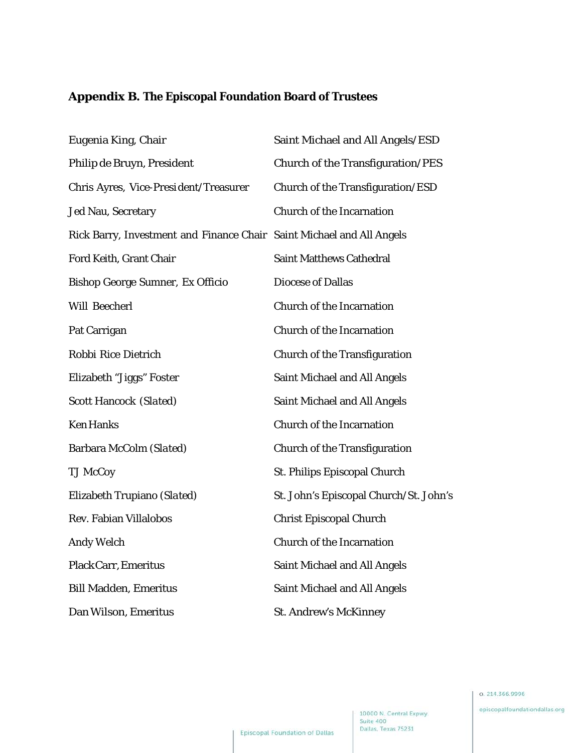# **Appendix B. The Episcopal Foundation Board of Trustees**

| Eugenia King, Chair                                                   | Saint Michael and All Angels/ESD       |
|-----------------------------------------------------------------------|----------------------------------------|
| Philip de Bruyn, President                                            | Church of the Transfiguration/PES      |
| Chris Ayres, Vice-President/Treasurer                                 | Church of the Transfiguration/ESD      |
| <b>Jed Nau, Secretary</b>                                             | <b>Church of the Incarnation</b>       |
| Rick Barry, Investment and Finance Chair Saint Michael and All Angels |                                        |
| Ford Keith, Grant Chair                                               | <b>Saint Matthews Cathedral</b>        |
| Bishop George Sumner, Ex Officio                                      | <b>Diocese of Dallas</b>               |
| Will Beecherl                                                         | <b>Church of the Incarnation</b>       |
| Pat Carrigan                                                          | <b>Church of the Incarnation</b>       |
| Robbi Rice Dietrich                                                   | <b>Church of the Transfiguration</b>   |
| Elizabeth "Jiggs" Foster                                              | Saint Michael and All Angels           |
| <b>Scott Hancock (Slated)</b>                                         | <b>Saint Michael and All Angels</b>    |
| <b>Ken Hanks</b>                                                      | <b>Church of the Incarnation</b>       |
| Barbara McColm (Slated)                                               | <b>Church of the Transfiguration</b>   |
| <b>TJ McCoy</b>                                                       | St. Philips Episcopal Church           |
| Elizabeth Trupiano (Slated)                                           | St. John's Episcopal Church/St. John's |
| Rev. Fabian Villalobos                                                | <b>Christ Episcopal Church</b>         |
| <b>Andy Welch</b>                                                     | <b>Church of the Incarnation</b>       |
| <b>Plack Carr, Emeritus</b>                                           | <b>Saint Michael and All Angels</b>    |
| <b>Bill Madden, Emeritus</b>                                          | <b>Saint Michael and All Angels</b>    |
| Dan Wilson, Emeritus                                                  | <b>St. Andrew's McKinney</b>           |

episcopalfoundationdallas.org

10000 N. Central Expwy. Dallas, Texas 75231

Suite 400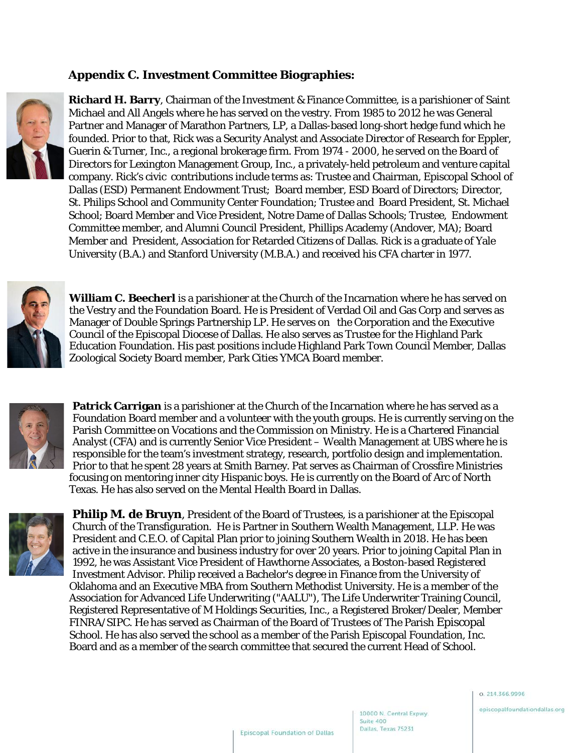### **Appendix C. Investment Committee Biographies:**



**Richard H. Barry**, Chairman of the Investment & Finance Committee, is a parishioner of Saint Michael and All Angels where he has served on the vestry. From 1985 to 2012 he was General Partner and Manager of Marathon Partners, LP, a Dallas-based long-short hedge fund which he founded. Prior to that, Rick was a Security Analyst and Associate Director of Research for Eppler, Guerin & Turner, Inc., a regional brokerage firm. From 1974 - 2000, he served on the Board of Directors for Lexington Management Group, Inc., a privately-held petroleum and venture capital company. Rick's civic contributions include terms as: Trustee and Chairman, Episcopal School of Dallas (ESD) Permanent Endowment Trust; Board member, ESD Board of Directors; Director, St. Philips School and Community Center Foundation; Trustee and Board President, St. Michael School; Board Member and Vice President, Notre Dame of Dallas Schools; Trustee, Endowment Committee member, and Alumni Council President, Phillips Academy (Andover, MA); Board Member and President, Association for Retarded Citizens of Dallas. Rick is a graduate of Yale University (B.A.) and Stanford University (M.B.A.) and received his CFA charter in 1977.



**William C. Beecherl** is a parishioner at the Church of the Incarnation where he has served on the Vestry and the Foundation Board. He is President of Verdad Oil and Gas Corp and serves as Manager of Double Springs Partnership LP. He serves on the Corporation and the Executive Council of the Episcopal Diocese of Dallas. He also serves as Trustee for the Highland Park Education Foundation. His past positions include Highland Park Town Council Member, Dallas Zoological Society Board member, Park Cities YMCA Board member.



**Patrick Carrigan** is a parishioner at the Church of the Incarnation where he has served as a Foundation Board member and a volunteer with the youth groups. He is currently serving on the Parish Committee on Vocations and the Commission on Ministry. He is a Chartered Financial Analyst (CFA) and is currently Senior Vice President – Wealth Management at UBS where he is responsible for the team's investment strategy, research, portfolio design and implementation. Prior to that he spent 28 years at Smith Barney. Pat serves as Chairman of Crossfire Ministries focusing on mentoring inner city Hispanic boys. He is currently on the Board of Arc of North Texas. He has also served on the Mental Health Board in Dallas.



**Philip M. de Bruyn**, President of the Board of Trustees, is a parishioner at the Episcopal Church of the Transfiguration. He is Partner in Southern Wealth Management, LLP. He was President and C.E.O. of Capital Plan prior to joining Southern Wealth in 2018. He has been active in the insurance and business industry for over 20 years. Prior to joining Capital Plan in 1992, he was Assistant Vice President of Hawthorne Associates, a Boston-based Registered Investment Advisor. Philip received a Bachelor's degree in Finance from the University of Oklahoma and an Executive MBA from Southern Methodist University. He is a member of the Association for Advanced Life Underwriting ("AALU"), The Life Underwriter Training Council, Registered Representative of M Holdings Securities, Inc., a Registered Broker/Dealer, Member FINRA/SIPC. He has served as Chairman of the Board of Trustees of The Parish Episcopal School. He has also served the school as a member of the Parish Episcopal Foundation, Inc. Board and as a member of the search committee that secured the current Head of School.

0.214.366.9996

episcopalfoundationdallas.org

10000 N. Central Expwy.